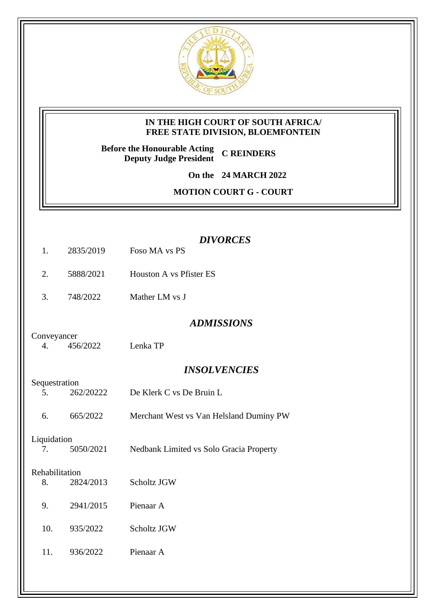

## **IN THE HIGH COURT OF SOUTH AFRICA/ FREE STATE DIVISION, BLOEMFONTEIN**

**Before the Honourable Acting Deputy Judge President C REINDERS**

**On the 24 MARCH 2022**

**MOTION COURT G - COURT** 

|                                   |           | <b>DIVORCES</b>                         |
|-----------------------------------|-----------|-----------------------------------------|
| 1.                                | 2835/2019 | Foso MA vs PS                           |
| 2.                                | 5888/2021 | Houston A vs Pfister ES                 |
| 3.                                | 748/2022  | Mather LM vs J                          |
|                                   |           | <b>ADMISSIONS</b>                       |
| Conveyancer<br>4.                 | 456/2022  | Lenka TP                                |
|                                   |           | <b>INSOLVENCIES</b>                     |
| Sequestration<br>5.               | 262/20222 | De Klerk C vs De Bruin L                |
|                                   |           |                                         |
| 6.                                | 665/2022  | Merchant West vs Van Helsland Duminy PW |
| Liquidation                       |           |                                         |
| 7.                                | 5050/2021 | Nedbank Limited vs Solo Gracia Property |
| Rehabilitation<br>2824/2013<br>8. |           | Scholtz JGW                             |
|                                   |           |                                         |
| 9.                                | 2941/2015 | Pienaar A                               |
| 10.                               | 935/2022  | Scholtz JGW                             |
| 11.                               | 936/2022  | Pienaar A                               |
|                                   |           |                                         |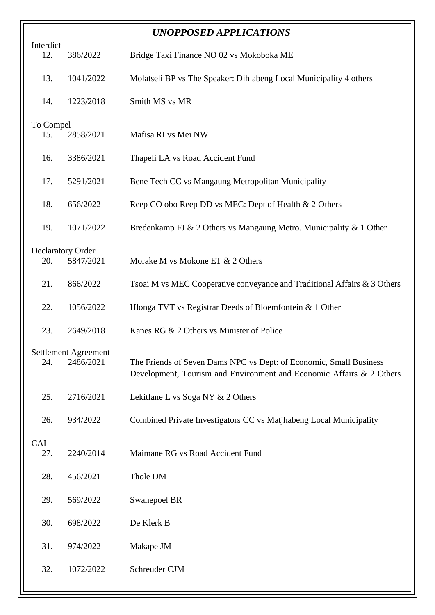| <b>UNOPPOSED APPLICATIONS</b> |                          |                                                                                                                                            |
|-------------------------------|--------------------------|--------------------------------------------------------------------------------------------------------------------------------------------|
| Interdict<br>12.              | 386/2022                 | Bridge Taxi Finance NO 02 vs Mokoboka ME                                                                                                   |
| 13.                           | 1041/2022                | Molatseli BP vs The Speaker: Dihlabeng Local Municipality 4 others                                                                         |
| 14.                           | 1223/2018                | Smith MS vs MR                                                                                                                             |
| To Compel                     |                          |                                                                                                                                            |
| 15.                           | 2858/2021                | Mafisa RI vs Mei NW                                                                                                                        |
| 16.                           | 3386/2021                | Thapeli LA vs Road Accident Fund                                                                                                           |
| 17.                           | 5291/2021                | Bene Tech CC vs Mangaung Metropolitan Municipality                                                                                         |
| 18.                           | 656/2022                 | Reep CO obo Reep DD vs MEC: Dept of Health & 2 Others                                                                                      |
| 19.                           | 1071/2022                | Bredenkamp FJ & 2 Others vs Mangaung Metro. Municipality & 1 Other                                                                         |
|                               | <b>Declaratory Order</b> |                                                                                                                                            |
| 20.                           | 5847/2021                | Morake M vs Mokone ET & 2 Others                                                                                                           |
| 21.                           | 866/2022                 | Tsoai M vs MEC Cooperative conveyance and Traditional Affairs & 3 Others                                                                   |
| 22.                           | 1056/2022                | Hlonga TVT vs Registrar Deeds of Bloemfontein & 1 Other                                                                                    |
| 23.                           | 2649/2018                | Kanes RG & 2 Others vs Minister of Police                                                                                                  |
|                               | Settlement Agreement     |                                                                                                                                            |
| 24.                           | 2486/2021                | The Friends of Seven Dams NPC vs Dept: of Economic, Small Business<br>Development, Tourism and Environment and Economic Affairs & 2 Others |
| 25.                           | 2716/2021                | Lekitlane L vs Soga NY & 2 Others                                                                                                          |
| 26.                           | 934/2022                 | Combined Private Investigators CC vs Matjhabeng Local Municipality                                                                         |
| CAL                           |                          |                                                                                                                                            |
| 27.                           | 2240/2014                | Maimane RG vs Road Accident Fund                                                                                                           |
| 28.                           | 456/2021                 | Thole DM                                                                                                                                   |
| 29.                           | 569/2022                 | Swanepoel BR                                                                                                                               |
| 30.                           | 698/2022                 | De Klerk B                                                                                                                                 |
| 31.                           | 974/2022                 | Makape JM                                                                                                                                  |
| 32.                           | 1072/2022                | Schreuder CJM                                                                                                                              |
|                               |                          |                                                                                                                                            |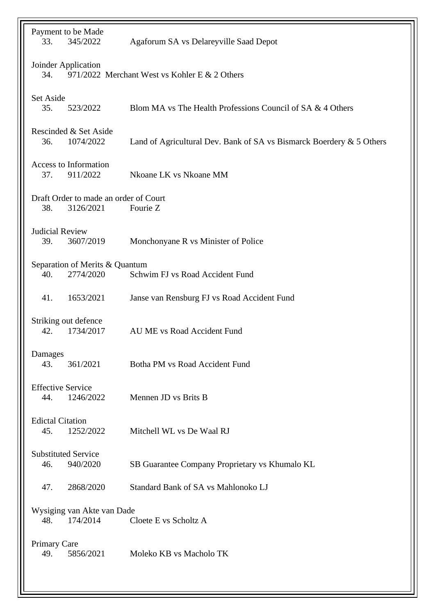| Payment to be Made<br>345/2022<br>33.                                       | Agaforum SA vs Delareyville Saad Depot                                  |  |
|-----------------------------------------------------------------------------|-------------------------------------------------------------------------|--|
| Joinder Application<br>971/2022 Merchant West vs Kohler E & 2 Others<br>34. |                                                                         |  |
| <b>Set Aside</b><br>35.<br>523/2022                                         | Blom MA vs The Health Professions Council of SA & 4 Others              |  |
| Rescinded & Set Aside<br>36.<br>1074/2022                                   | Land of Agricultural Dev. Bank of SA vs Bismarck Boerdery $\&$ 5 Others |  |
| <b>Access to Information</b><br>911/2022<br>37.                             | Nkoane LK vs Nkoane MM                                                  |  |
| Draft Order to made an order of Court<br>3126/2021<br>38.                   | Fourie Z                                                                |  |
| <b>Judicial Review</b><br>3607/2019<br>39.                                  | Monchonyane R vs Minister of Police                                     |  |
| Separation of Merits & Quantum<br>2774/2020<br>40.                          | Schwim FJ vs Road Accident Fund                                         |  |
| 1653/2021<br>41.                                                            | Janse van Rensburg FJ vs Road Accident Fund                             |  |
| Striking out defence<br>1734/2017<br>42.                                    | AU ME vs Road Accident Fund                                             |  |
| Damages<br>43.<br>361/2021                                                  | Botha PM vs Road Accident Fund                                          |  |
| <b>Effective Service</b><br>1246/2022<br>44.                                | Mennen JD vs Brits B                                                    |  |
| <b>Edictal Citation</b><br>1252/2022<br>45.                                 | Mitchell WL vs De Waal RJ                                               |  |
| <b>Substituted Service</b><br>940/2020<br>46.                               | SB Guarantee Company Proprietary vs Khumalo KL                          |  |
| 2868/2020<br>47.                                                            | Standard Bank of SA vs Mahlonoko LJ                                     |  |
| Wysiging van Akte van Dade<br>48.<br>174/2014                               | Cloete E vs Scholtz A                                                   |  |
| Primary Care<br>5856/2021<br>49.                                            | Moleko KB vs Macholo TK                                                 |  |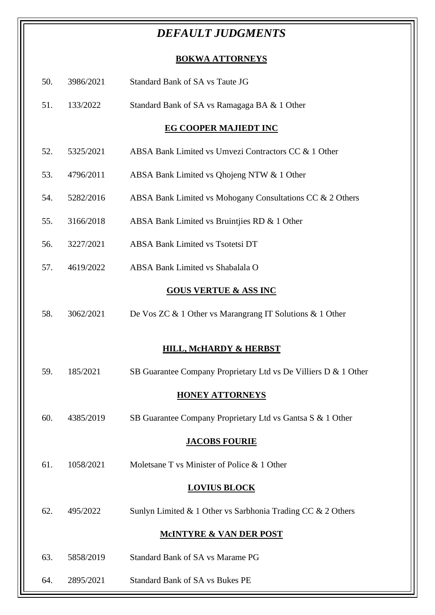## *DEFAULT JUDGMENTS*

## **BOKWA ATTORNEYS**

| 50. | 3986/2021 | Standard Bank of SA vs Taute JG                                 |
|-----|-----------|-----------------------------------------------------------------|
| 51. | 133/2022  | Standard Bank of SA vs Ramagaga BA & 1 Other                    |
|     |           | <b>EG COOPER MAJIEDT INC</b>                                    |
| 52. | 5325/2021 | ABSA Bank Limited vs Umvezi Contractors CC & 1 Other            |
| 53. | 4796/2011 | ABSA Bank Limited vs Qhojeng NTW & 1 Other                      |
| 54. | 5282/2016 | ABSA Bank Limited vs Mohogany Consultations CC & 2 Others       |
| 55. | 3166/2018 | ABSA Bank Limited vs Bruintjies RD & 1 Other                    |
| 56. | 3227/2021 | <b>ABSA Bank Limited vs Tsotetsi DT</b>                         |
| 57. | 4619/2022 | ABSA Bank Limited vs Shabalala O                                |
|     |           | <b>GOUS VERTUE &amp; ASS INC</b>                                |
| 58. | 3062/2021 | De Vos ZC & 1 Other vs Marangrang IT Solutions & 1 Other        |
|     |           |                                                                 |
|     |           | <b>HILL, McHARDY &amp; HERBST</b>                               |
| 59. | 185/2021  | SB Guarantee Company Proprietary Ltd vs De Villiers D & 1 Other |
|     |           | <b>HONEY ATTORNEYS</b>                                          |
| 60. | 4385/2019 | SB Guarantee Company Proprietary Ltd vs Gantsa S & 1 Other      |
|     |           | <b>JACOBS FOURIE</b>                                            |
| 61. | 1058/2021 | Moletsane T vs Minister of Police & 1 Other                     |
|     |           | <b>LOVIUS BLOCK</b>                                             |
| 62. | 495/2022  | Sunlyn Limited & 1 Other vs Sarbhonia Trading CC & 2 Others     |
|     |           | <b>MCINTYRE &amp; VAN DER POST</b>                              |
| 63. | 5858/2019 | <b>Standard Bank of SA vs Marame PG</b>                         |
| 64. | 2895/2021 | <b>Standard Bank of SA vs Bukes PE</b>                          |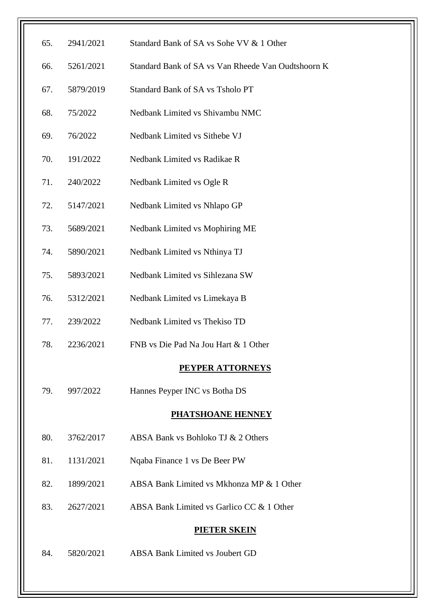| 65. | 2941/2021 | Standard Bank of SA vs Sohe VV & 1 Other           |
|-----|-----------|----------------------------------------------------|
|     |           | Standard Bank of SA vs Van Rheede Van Oudtshoorn K |
| 66. | 5261/2021 |                                                    |
| 67. | 5879/2019 | Standard Bank of SA vs Tsholo PT                   |
| 68. | 75/2022   | Nedbank Limited vs Shivambu NMC                    |
| 69. | 76/2022   | Nedbank Limited vs Sithebe VJ                      |
| 70. | 191/2022  | Nedbank Limited vs Radikae R                       |
| 71. | 240/2022  | Nedbank Limited vs Ogle R                          |
| 72. | 5147/2021 | Nedbank Limited vs Nhlapo GP                       |
| 73. | 5689/2021 | Nedbank Limited vs Mophiring ME                    |
| 74. | 5890/2021 | Nedbank Limited vs Nthinya TJ                      |
| 75. | 5893/2021 | Nedbank Limited vs Sihlezana SW                    |
| 76. | 5312/2021 | Nedbank Limited vs Limekaya B                      |
| 77. | 239/2022  | Nedbank Limited vs Thekiso TD                      |
| 78. | 2236/2021 | FNB vs Die Pad Na Jou Hart & 1 Other               |
|     |           | <b>PEYPER ATTORNEYS</b>                            |
| 79. | 997/2022  | Hannes Peyper INC vs Botha DS                      |
|     |           | <b>PHATSHOANE HENNEY</b>                           |
| 80. | 3762/2017 | ABSA Bank vs Bohloko TJ & 2 Others                 |
| 81. | 1131/2021 | Nqaba Finance 1 vs De Beer PW                      |
| 82. | 1899/2021 | ABSA Bank Limited vs Mkhonza MP & 1 Other          |
| 83. | 2627/2021 | ABSA Bank Limited vs Garlico CC & 1 Other          |
|     |           | <b>PIETER SKEIN</b>                                |
| 84. | 5820/2021 | <b>ABSA Bank Limited vs Joubert GD</b>             |
|     |           |                                                    |
|     |           |                                                    |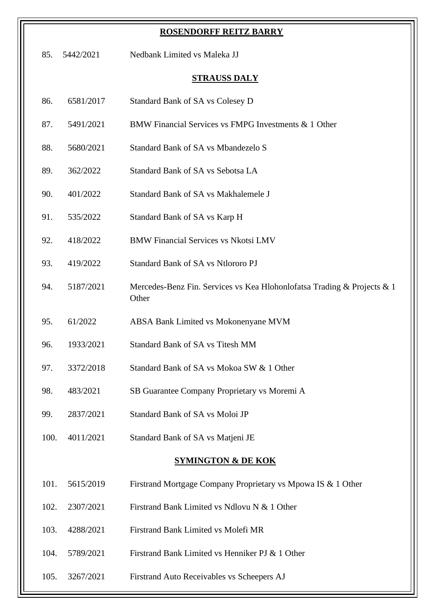|      |           | <b>ROSENDORFF REITZ BARRY</b>                                                    |
|------|-----------|----------------------------------------------------------------------------------|
| 85.  | 5442/2021 | Nedbank Limited vs Maleka JJ                                                     |
|      |           | <b>STRAUSS DALY</b>                                                              |
| 86.  | 6581/2017 | Standard Bank of SA vs Colesey D                                                 |
| 87.  | 5491/2021 | BMW Financial Services vs FMPG Investments & 1 Other                             |
| 88.  | 5680/2021 | Standard Bank of SA vs Mbandezelo S                                              |
| 89.  | 362/2022  | Standard Bank of SA vs Sebotsa LA                                                |
| 90.  | 401/2022  | Standard Bank of SA vs Makhalemele J                                             |
| 91.  | 535/2022  | Standard Bank of SA vs Karp H                                                    |
| 92.  | 418/2022  | <b>BMW Financial Services vs Nkotsi LMV</b>                                      |
| 93.  | 419/2022  | Standard Bank of SA vs Ntlororo PJ                                               |
| 94.  | 5187/2021 | Mercedes-Benz Fin. Services vs Kea Hlohonlofatsa Trading & Projects & 1<br>Other |
| 95.  | 61/2022   | ABSA Bank Limited vs Mokonenyane MVM                                             |
| 96.  | 1933/2021 | Standard Bank of SA vs Titesh MM                                                 |
| 97.  | 3372/2018 | Standard Bank of SA vs Mokoa SW & 1 Other                                        |
| 98.  | 483/2021  | SB Guarantee Company Proprietary vs Moremi A                                     |
| 99.  | 2837/2021 | Standard Bank of SA vs Moloi JP                                                  |
| 100. | 4011/2021 | Standard Bank of SA vs Matjeni JE                                                |
|      |           | <b>SYMINGTON &amp; DE KOK</b>                                                    |
| 101. | 5615/2019 | Firstrand Mortgage Company Proprietary vs Mpowa IS & 1 Other                     |
| 102. | 2307/2021 | Firstrand Bank Limited vs Ndlovu N & 1 Other                                     |
| 103. | 4288/2021 | Firstrand Bank Limited vs Molefi MR                                              |
| 104. | 5789/2021 | Firstrand Bank Limited vs Henniker PJ & 1 Other                                  |
| 105. | 3267/2021 | Firstrand Auto Receivables vs Scheepers AJ                                       |